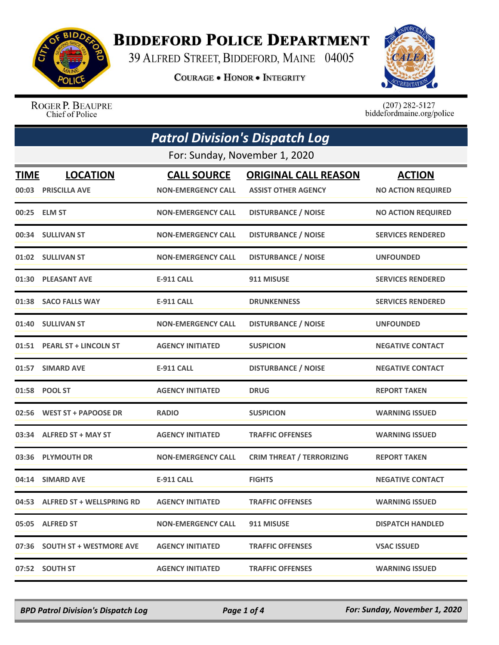

## **BIDDEFORD POLICE DEPARTMENT**

39 ALFRED STREET, BIDDEFORD, MAINE 04005

**COURAGE . HONOR . INTEGRITY** 



ROGER P. BEAUPRE Chief of Police

 $(207)$  282-5127 biddefordmaine.org/police

| <b>Patrol Division's Dispatch Log</b> |                                        |                                                 |                                                           |                                            |  |  |
|---------------------------------------|----------------------------------------|-------------------------------------------------|-----------------------------------------------------------|--------------------------------------------|--|--|
|                                       | For: Sunday, November 1, 2020          |                                                 |                                                           |                                            |  |  |
| <b>TIME</b>                           | <b>LOCATION</b><br>00:03 PRISCILLA AVE | <b>CALL SOURCE</b><br><b>NON-EMERGENCY CALL</b> | <b>ORIGINAL CALL REASON</b><br><b>ASSIST OTHER AGENCY</b> | <b>ACTION</b><br><b>NO ACTION REQUIRED</b> |  |  |
|                                       | 00:25 ELM ST                           | <b>NON-EMERGENCY CALL</b>                       | <b>DISTURBANCE / NOISE</b>                                | <b>NO ACTION REQUIRED</b>                  |  |  |
|                                       | 00:34 SULLIVAN ST                      | <b>NON-EMERGENCY CALL</b>                       | <b>DISTURBANCE / NOISE</b>                                | <b>SERVICES RENDERED</b>                   |  |  |
|                                       | 01:02 SULLIVAN ST                      | <b>NON-EMERGENCY CALL</b>                       | <b>DISTURBANCE / NOISE</b>                                | <b>UNFOUNDED</b>                           |  |  |
|                                       | 01:30 PLEASANT AVE                     | E-911 CALL                                      | 911 MISUSE                                                | <b>SERVICES RENDERED</b>                   |  |  |
|                                       | 01:38 SACO FALLS WAY                   | <b>E-911 CALL</b>                               | <b>DRUNKENNESS</b>                                        | <b>SERVICES RENDERED</b>                   |  |  |
|                                       | 01:40 SULLIVAN ST                      | <b>NON-EMERGENCY CALL</b>                       | <b>DISTURBANCE / NOISE</b>                                | <b>UNFOUNDED</b>                           |  |  |
|                                       | 01:51 PEARL ST + LINCOLN ST            | <b>AGENCY INITIATED</b>                         | <b>SUSPICION</b>                                          | <b>NEGATIVE CONTACT</b>                    |  |  |
|                                       | 01:57 SIMARD AVE                       | <b>E-911 CALL</b>                               | <b>DISTURBANCE / NOISE</b>                                | <b>NEGATIVE CONTACT</b>                    |  |  |
|                                       | 01:58 POOL ST                          | <b>AGENCY INITIATED</b>                         | <b>DRUG</b>                                               | <b>REPORT TAKEN</b>                        |  |  |
|                                       | 02:56 WEST ST + PAPOOSE DR             | <b>RADIO</b>                                    | <b>SUSPICION</b>                                          | <b>WARNING ISSUED</b>                      |  |  |
|                                       | 03:34 ALFRED ST + MAY ST               | <b>AGENCY INITIATED</b>                         | <b>TRAFFIC OFFENSES</b>                                   | <b>WARNING ISSUED</b>                      |  |  |
|                                       | 03:36 PLYMOUTH DR                      | <b>NON-EMERGENCY CALL</b>                       | <b>CRIM THREAT / TERRORIZING</b>                          | <b>REPORT TAKEN</b>                        |  |  |
|                                       | 04:14 SIMARD AVE                       | <b>E-911 CALL</b>                               | <b>FIGHTS</b>                                             | <b>NEGATIVE CONTACT</b>                    |  |  |
|                                       | 04:53 ALFRED ST + WELLSPRING RD        | <b>AGENCY INITIATED</b>                         | <b>TRAFFIC OFFENSES</b>                                   | <b>WARNING ISSUED</b>                      |  |  |
|                                       | 05:05 ALFRED ST                        | <b>NON-EMERGENCY CALL</b>                       | 911 MISUSE                                                | <b>DISPATCH HANDLED</b>                    |  |  |
|                                       | 07:36 SOUTH ST + WESTMORE AVE          | <b>AGENCY INITIATED</b>                         | <b>TRAFFIC OFFENSES</b>                                   | <b>VSAC ISSUED</b>                         |  |  |
|                                       | 07:52 SOUTH ST                         | <b>AGENCY INITIATED</b>                         | <b>TRAFFIC OFFENSES</b>                                   | <b>WARNING ISSUED</b>                      |  |  |

*BPD Patrol Division's Dispatch Log Page 1 of 4 For: Sunday, November 1, 2020*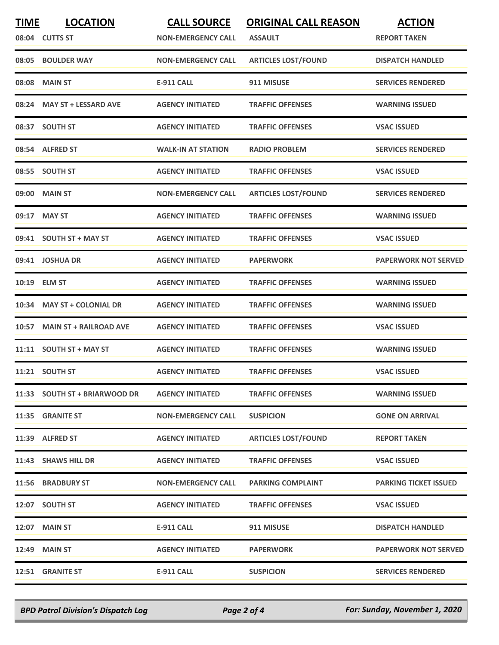| <b>TIME</b> | <b>LOCATION</b>               | <b>CALL SOURCE</b>        | <b>ORIGINAL CALL REASON</b> | <b>ACTION</b>                |
|-------------|-------------------------------|---------------------------|-----------------------------|------------------------------|
|             | 08:04 CUTTS ST                | <b>NON-EMERGENCY CALL</b> | <b>ASSAULT</b>              | <b>REPORT TAKEN</b>          |
| 08:05       | <b>BOULDER WAY</b>            | <b>NON-EMERGENCY CALL</b> | <b>ARTICLES LOST/FOUND</b>  | <b>DISPATCH HANDLED</b>      |
| 08:08       | <b>MAIN ST</b>                | <b>E-911 CALL</b>         | 911 MISUSE                  | <b>SERVICES RENDERED</b>     |
|             | 08:24 MAY ST + LESSARD AVE    | <b>AGENCY INITIATED</b>   | <b>TRAFFIC OFFENSES</b>     | <b>WARNING ISSUED</b>        |
|             | 08:37 SOUTH ST                | <b>AGENCY INITIATED</b>   | <b>TRAFFIC OFFENSES</b>     | <b>VSAC ISSUED</b>           |
|             | 08:54 ALFRED ST               | <b>WALK-IN AT STATION</b> | <b>RADIO PROBLEM</b>        | <b>SERVICES RENDERED</b>     |
| 08:55       | <b>SOUTH ST</b>               | <b>AGENCY INITIATED</b>   | <b>TRAFFIC OFFENSES</b>     | <b>VSAC ISSUED</b>           |
|             | 09:00 MAIN ST                 | <b>NON-EMERGENCY CALL</b> | <b>ARTICLES LOST/FOUND</b>  | <b>SERVICES RENDERED</b>     |
|             | 09:17 MAY ST                  | <b>AGENCY INITIATED</b>   | <b>TRAFFIC OFFENSES</b>     | <b>WARNING ISSUED</b>        |
|             | 09:41 SOUTH ST + MAY ST       | <b>AGENCY INITIATED</b>   | <b>TRAFFIC OFFENSES</b>     | <b>VSAC ISSUED</b>           |
|             | 09:41 JOSHUA DR               | <b>AGENCY INITIATED</b>   | <b>PAPERWORK</b>            | <b>PAPERWORK NOT SERVED</b>  |
|             | 10:19 ELM ST                  | <b>AGENCY INITIATED</b>   | <b>TRAFFIC OFFENSES</b>     | <b>WARNING ISSUED</b>        |
| 10:34       | <b>MAY ST + COLONIAL DR</b>   | <b>AGENCY INITIATED</b>   | <b>TRAFFIC OFFENSES</b>     | <b>WARNING ISSUED</b>        |
| 10:57       | <b>MAIN ST + RAILROAD AVE</b> | <b>AGENCY INITIATED</b>   | <b>TRAFFIC OFFENSES</b>     | <b>VSAC ISSUED</b>           |
|             | 11:11 SOUTH ST + MAY ST       | <b>AGENCY INITIATED</b>   | <b>TRAFFIC OFFENSES</b>     | <b>WARNING ISSUED</b>        |
|             | 11:21 SOUTH ST                | <b>AGENCY INITIATED</b>   | <b>TRAFFIC OFFENSES</b>     | <b>VSAC ISSUED</b>           |
|             | 11:33 SOUTH ST + BRIARWOOD DR | <b>AGENCY INITIATED</b>   | <b>TRAFFIC OFFENSES</b>     | <b>WARNING ISSUED</b>        |
|             | 11:35 GRANITE ST              | <b>NON-EMERGENCY CALL</b> | <b>SUSPICION</b>            | <b>GONE ON ARRIVAL</b>       |
|             | 11:39 ALFRED ST               | <b>AGENCY INITIATED</b>   | <b>ARTICLES LOST/FOUND</b>  | <b>REPORT TAKEN</b>          |
|             | 11:43 SHAWS HILL DR           | <b>AGENCY INITIATED</b>   | <b>TRAFFIC OFFENSES</b>     | <b>VSAC ISSUED</b>           |
|             | 11:56 BRADBURY ST             | <b>NON-EMERGENCY CALL</b> | <b>PARKING COMPLAINT</b>    | <b>PARKING TICKET ISSUED</b> |
|             | 12:07 SOUTH ST                | <b>AGENCY INITIATED</b>   | <b>TRAFFIC OFFENSES</b>     | <b>VSAC ISSUED</b>           |
|             | 12:07 MAIN ST                 | E-911 CALL                | 911 MISUSE                  | <b>DISPATCH HANDLED</b>      |
|             | <b>12:49 MAIN ST</b>          | <b>AGENCY INITIATED</b>   | <b>PAPERWORK</b>            | <b>PAPERWORK NOT SERVED</b>  |
|             | 12:51 GRANITE ST              | <b>E-911 CALL</b>         | <b>SUSPICION</b>            | <b>SERVICES RENDERED</b>     |
|             |                               |                           |                             |                              |

*BPD Patrol Division's Dispatch Log Page 2 of 4 For: Sunday, November 1, 2020*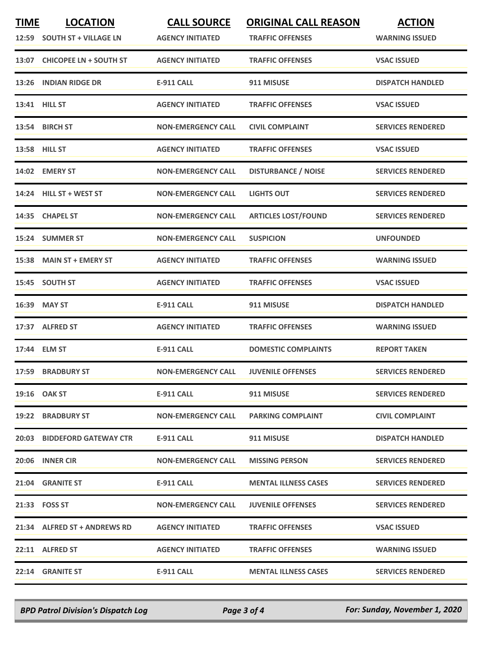| <b>TIME</b> | <b>LOCATION</b><br>12:59 SOUTH ST + VILLAGE LN | <b>CALL SOURCE</b><br><b>AGENCY INITIATED</b> | <b>ORIGINAL CALL REASON</b><br><b>TRAFFIC OFFENSES</b> | <b>ACTION</b><br><b>WARNING ISSUED</b> |
|-------------|------------------------------------------------|-----------------------------------------------|--------------------------------------------------------|----------------------------------------|
|             | 13:07 CHICOPEE LN + SOUTH ST                   | <b>AGENCY INITIATED</b>                       | <b>TRAFFIC OFFENSES</b>                                | <b>VSAC ISSUED</b>                     |
|             | 13:26 INDIAN RIDGE DR                          | <b>E-911 CALL</b>                             | 911 MISUSE                                             | <b>DISPATCH HANDLED</b>                |
|             | <b>13:41 HILL ST</b>                           | <b>AGENCY INITIATED</b>                       | <b>TRAFFIC OFFENSES</b>                                | <b>VSAC ISSUED</b>                     |
|             | 13:54 BIRCH ST                                 | <b>NON-EMERGENCY CALL</b>                     | <b>CIVIL COMPLAINT</b>                                 | <b>SERVICES RENDERED</b>               |
|             | <b>13:58 HILL ST</b>                           | <b>AGENCY INITIATED</b>                       | <b>TRAFFIC OFFENSES</b>                                | <b>VSAC ISSUED</b>                     |
|             | 14:02 EMERY ST                                 | <b>NON-EMERGENCY CALL</b>                     | <b>DISTURBANCE / NOISE</b>                             | <b>SERVICES RENDERED</b>               |
|             | 14:24 HILL ST + WEST ST                        | <b>NON-EMERGENCY CALL</b>                     | <b>LIGHTS OUT</b>                                      | <b>SERVICES RENDERED</b>               |
|             | 14:35 CHAPEL ST                                | <b>NON-EMERGENCY CALL</b>                     | <b>ARTICLES LOST/FOUND</b>                             | <b>SERVICES RENDERED</b>               |
|             | 15:24 SUMMER ST                                | <b>NON-EMERGENCY CALL</b>                     | <b>SUSPICION</b>                                       | <b>UNFOUNDED</b>                       |
|             | 15:38 MAIN ST + EMERY ST                       | <b>AGENCY INITIATED</b>                       | <b>TRAFFIC OFFENSES</b>                                | <b>WARNING ISSUED</b>                  |
|             | 15:45 SOUTH ST                                 | <b>AGENCY INITIATED</b>                       | <b>TRAFFIC OFFENSES</b>                                | <b>VSAC ISSUED</b>                     |
|             | 16:39 MAY ST                                   | <b>E-911 CALL</b>                             | 911 MISUSE                                             | <b>DISPATCH HANDLED</b>                |
|             | 17:37 ALFRED ST                                | <b>AGENCY INITIATED</b>                       | <b>TRAFFIC OFFENSES</b>                                | <b>WARNING ISSUED</b>                  |
|             | 17:44 ELM ST                                   | <b>E-911 CALL</b>                             | <b>DOMESTIC COMPLAINTS</b>                             | <b>REPORT TAKEN</b>                    |
|             | 17:59 BRADBURY ST                              | <b>NON-EMERGENCY CALL</b>                     | <b>JUVENILE OFFENSES</b>                               | <b>SERVICES RENDERED</b>               |
|             | 19:16 OAK ST                                   | E-911 CALL                                    | 911 MISUSE                                             | <b>SERVICES RENDERED</b>               |
|             | <b>19:22 BRADBURY ST</b>                       | <b>NON-EMERGENCY CALL</b>                     | <b>PARKING COMPLAINT</b>                               | <b>CIVIL COMPLAINT</b>                 |
|             | 20:03 BIDDEFORD GATEWAY CTR                    | E-911 CALL                                    | 911 MISUSE                                             | <b>DISPATCH HANDLED</b>                |
|             | 20:06 INNER CIR                                | <b>NON-EMERGENCY CALL</b>                     | <b>MISSING PERSON</b>                                  | <b>SERVICES RENDERED</b>               |
|             | 21:04 GRANITE ST                               | E-911 CALL E-911                              | <b>MENTAL ILLNESS CASES</b>                            | <b>SERVICES RENDERED</b>               |
|             | 21:33 FOSS ST                                  | <b>NON-EMERGENCY CALL</b>                     | <b>JUVENILE OFFENSES</b>                               | <b>SERVICES RENDERED</b>               |
|             | 21:34 ALFRED ST + ANDREWS RD                   | <b>AGENCY INITIATED</b>                       | <b>TRAFFIC OFFENSES</b>                                | <b>VSAC ISSUED</b>                     |
|             | 22:11 ALFRED ST                                | <b>AGENCY INITIATED</b>                       | <b>TRAFFIC OFFENSES</b>                                | <b>WARNING ISSUED</b>                  |
|             | 22:14 GRANITE ST                               | E-911 CALL                                    | <b>MENTAL ILLNESS CASES</b>                            | <b>SERVICES RENDERED</b>               |

*BPD Patrol Division's Dispatch Log Page 3 of 4 For: Sunday, November 1, 2020*